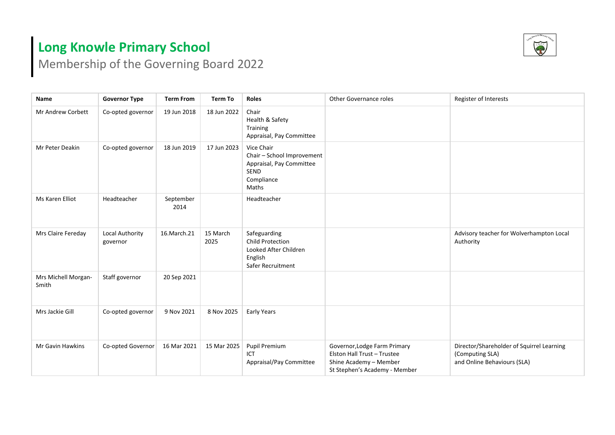## **Long Knowle Primary School**



Membership of the Governing Board 2022

| Name                         | <b>Governor Type</b>        | <b>Term From</b>  | <b>Term To</b>   | <b>Roles</b>                                                                                               | <b>Other Governance roles</b>                                                                                          | Register of Interests                                                                       |
|------------------------------|-----------------------------|-------------------|------------------|------------------------------------------------------------------------------------------------------------|------------------------------------------------------------------------------------------------------------------------|---------------------------------------------------------------------------------------------|
| Mr Andrew Corbett            | Co-opted governor           | 19 Jun 2018       | 18 Jun 2022      | Chair<br>Health & Safety<br>Training<br>Appraisal, Pay Committee                                           |                                                                                                                        |                                                                                             |
| Mr Peter Deakin              | Co-opted governor           | 18 Jun 2019       | 17 Jun 2023      | Vice Chair<br>Chair - School Improvement<br>Appraisal, Pay Committee<br><b>SEND</b><br>Compliance<br>Maths |                                                                                                                        |                                                                                             |
| Ms Karen Elliot              | Headteacher                 | September<br>2014 |                  | Headteacher                                                                                                |                                                                                                                        |                                                                                             |
| Mrs Claire Fereday           | Local Authority<br>governor | 16.March.21       | 15 March<br>2025 | Safeguarding<br><b>Child Protection</b><br>Looked After Children<br>English<br>Safer Recruitment           |                                                                                                                        | Advisory teacher for Wolverhampton Local<br>Authority                                       |
| Mrs Michell Morgan-<br>Smith | Staff governor              | 20 Sep 2021       |                  |                                                                                                            |                                                                                                                        |                                                                                             |
| Mrs Jackie Gill              | Co-opted governor           | 9 Nov 2021        | 8 Nov 2025       | Early Years                                                                                                |                                                                                                                        |                                                                                             |
| Mr Gavin Hawkins             | Co-opted Governor           | 16 Mar 2021       | 15 Mar 2025      | <b>Pupil Premium</b><br>ICT<br>Appraisal/Pay Committee                                                     | Governor, Lodge Farm Primary<br>Elston Hall Trust - Trustee<br>Shine Academy - Member<br>St Stephen's Academy - Member | Director/Shareholder of Squirrel Learning<br>(Computing SLA)<br>and Online Behaviours (SLA) |